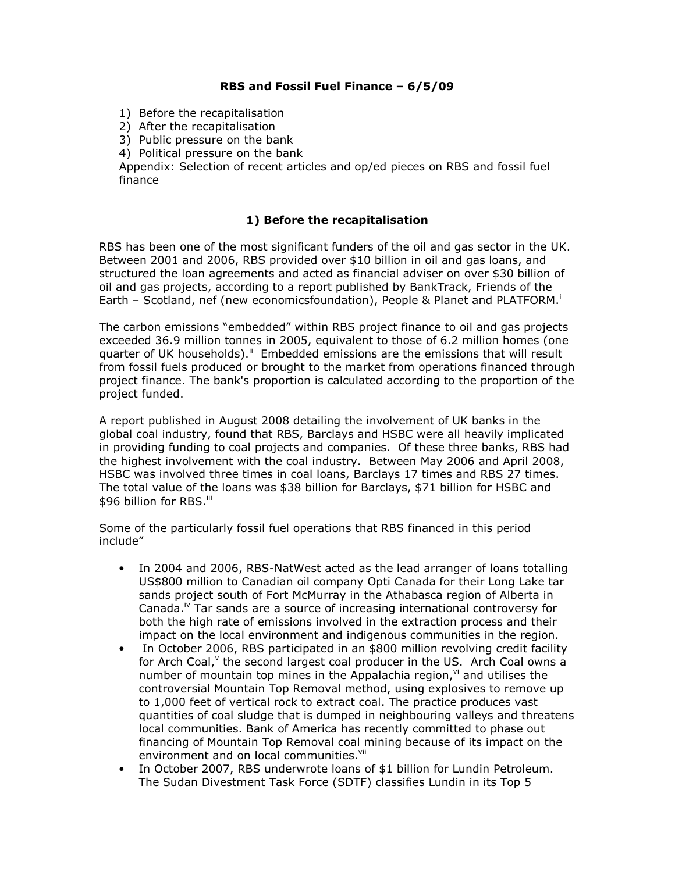## **RBS and Fossil Fuel Finance – 6/5/09**

- 1) Before the recapitalisation
- 2) After the recapitalisation
- 3) Public pressure on the bank
- 4) Political pressure on the bank

Appendix: Selection of recent articles and op/ed pieces on RBS and fossil fuel finance

### **1) Before the recapitalisation**

RBS has been one of the most significant funders of the oil and gas sector in the UK. Between 2001 and 2006, RBS provided over \$10 billion in oil and gas loans, and structured the loan agreements and acted as financial adviser on over \$30 billion of oil and gas projects, according to a report published by BankTrack, Friends of the Earth – Scotland, nef (new economicsfoundation), People & Planet and PLATFORM.

The carbon emissions "embedded" within RBS project finance to oil and gas projects exceeded 36.9 million tonnes in 2005, equivalent to those of 6.2 million homes (one quarter of UK households).<sup>ii</sup> Embedded emissions are the emissions that will result from fossil fuels produced or brought to the market from operations financed through project finance. The bank's proportion is calculated according to the proportion of the project funded.

A report published in August 2008 detailing the involvement of UK banks in the global coal industry, found that RBS, Barclays and HSBC were all heavily implicated in providing funding to coal projects and companies. Of these three banks, RBS had the highest involvement with the coal industry. Between May 2006 and April 2008, HSBC was involved three times in coal loans, Barclays 17 times and RBS 27 times. The total value of the loans was \$38 billion for Barclays, \$71 billion for HSBC and \$96 billion for RBS.<sup>iii</sup>

Some of the particularly fossil fuel operations that RBS financed in this period include"

- In 2004 and 2006, RBS-NatWest acted as the lead arranger of loans totalling US\$800 million to Canadian oil company Opti Canada for their Long Lake tar sands project south of Fort McMurray in the Athabasca region of Alberta in Canada.<sup>iv</sup> Tar sands are a source of increasing international controversy for both the high rate of emissions involved in the extraction process and their impact on the local environment and indigenous communities in the region.
- In October 2006, RBS participated in an \$800 million revolving credit facility for Arch Coal, the second largest coal producer in the US. Arch Coal owns a number of mountain top mines in the Appalachia region, $\theta$  and utilises the controversial Mountain Top Removal method, using explosives to remove up to 1,000 feet of vertical rock to extract coal. The practice produces vast quantities of coal sludge that is dumped in neighbouring valleys and threatens local communities. Bank of America has recently committed to phase out financing of Mountain Top Removal coal mining because of its impact on the environment and on local communities.<sup>vii</sup>
- In October 2007, RBS underwrote loans of \$1 billion for Lundin Petroleum. The Sudan Divestment Task Force (SDTF) classifies Lundin in its Top 5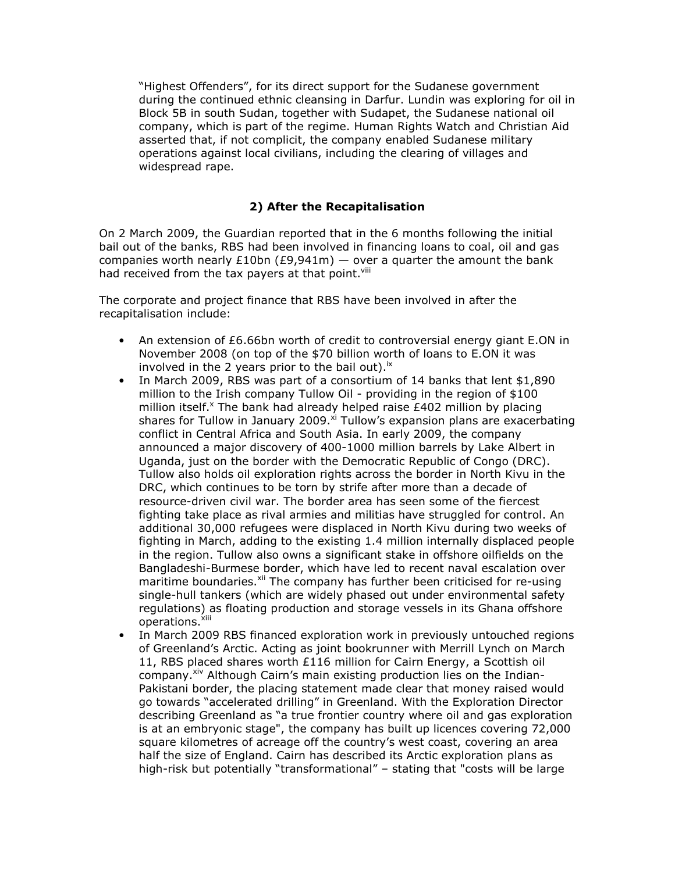"Highest Offenders", for its direct support for the Sudanese government during the continued ethnic cleansing in Darfur. Lundin was exploring for oil in Block 5B in south Sudan, together with Sudapet, the Sudanese national oil company, which is part of the regime. Human Rights Watch and Christian Aid asserted that, if not complicit, the company enabled Sudanese military operations against local civilians, including the clearing of villages and widespread rape.

# **2) After the Recapitalisation**

On 2 March 2009, the Guardian reported that in the 6 months following the initial bail out of the banks, RBS had been involved in financing loans to coal, oil and gas companies worth nearly £10bn (£9,941m)  $-$  over a quarter the amount the bank had received from the tax payers at that point. Vill

The corporate and project finance that RBS have been involved in after the recapitalisation include:

- An extension of £6.66bn worth of credit to controversial energy giant E.ON in November 2008 (on top of the \$70 billion worth of loans to E.ON it was involved in the 2 years prior to the bail out).<sup> $x$ </sup>
- In March 2009, RBS was part of a consortium of 14 banks that lent \$1,890 million to the Irish company Tullow Oil - providing in the region of \$100 million itself. $^x$  The bank had already helped raise £402 million by placing shares for Tullow in January 2009. $^{\circ}$  Tullow's expansion plans are exacerbating conflict in Central Africa and South Asia. In early 2009, the company announced a major discovery of 400-1000 million barrels by Lake Albert in Uganda, just on the border with the Democratic Republic of Congo (DRC). Tullow also holds oil exploration rights across the border in North Kivu in the DRC, which continues to be torn by strife after more than a decade of resource-driven civil war. The border area has seen some of the fiercest fighting take place as rival armies and militias have struggled for control. An additional 30,000 refugees were displaced in North Kivu during two weeks of fighting in March, adding to the existing 1.4 million internally displaced people in the region. Tullow also owns a significant stake in offshore oilfields on the Bangladeshi-Burmese border, which have led to recent naval escalation over maritime boundaries.<sup>xii</sup> The company has further been criticised for re-using single-hull tankers (which are widely phased out under environmental safety regulations) as floating production and storage vessels in its Ghana offshore operations.<sup>xiii</sup>
- In March 2009 RBS financed exploration work in previously untouched regions of Greenland's Arctic. Acting as joint bookrunner with Merrill Lynch on March 11, RBS placed shares worth £116 million for Cairn Energy, a Scottish oil company.<sup>xiv</sup> Although Cairn's main existing production lies on the Indian-Pakistani border, the placing statement made clear that money raised would go towards "accelerated drilling" in Greenland. With the Exploration Director describing Greenland as "a true frontier country where oil and gas exploration is at an embryonic stage", the company has built up licences covering 72,000 square kilometres of acreage off the country's west coast, covering an area half the size of England. Cairn has described its Arctic exploration plans as high-risk but potentially "transformational" – stating that "costs will be large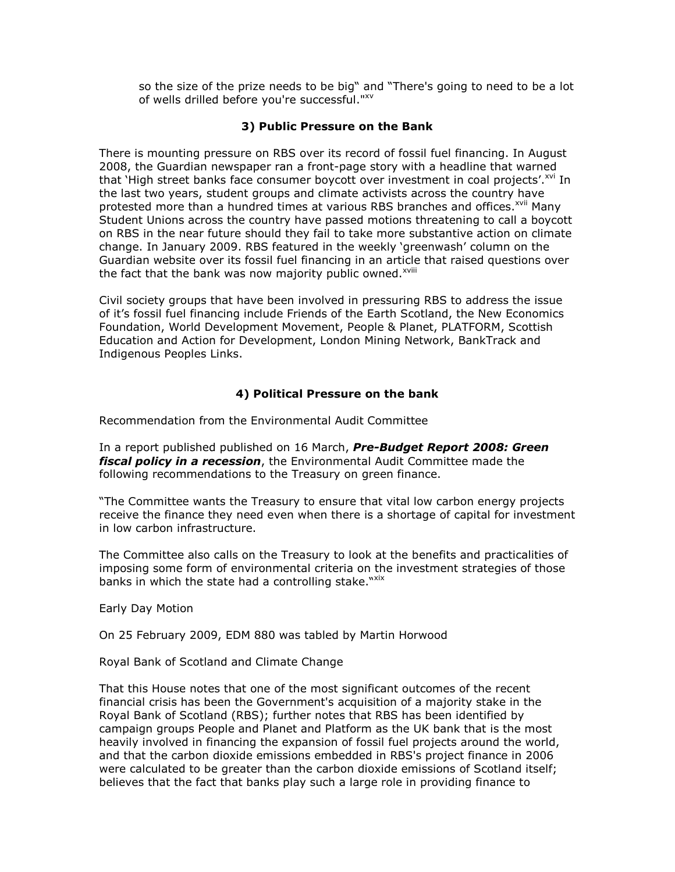so the size of the prize needs to be big" and "There's going to need to be a lot of wells drilled before you're successful."xv

#### **3) Public Pressure on the Bank**

There is mounting pressure on RBS over its record of fossil fuel financing. In August 2008, the Guardian newspaper ran a front-page story with a headline that warned that 'High street banks face consumer boycott over investment in coal projects'.<sup>xvi</sup> In the last two years, student groups and climate activists across the country have protested more than a hundred times at various RBS branches and offices.<sup>xvii</sup> Many Student Unions across the country have passed motions threatening to call a boycott on RBS in the near future should they fail to take more substantive action on climate change. In January 2009. RBS featured in the weekly 'greenwash' column on the Guardian website over its fossil fuel financing in an article that raised questions over the fact that the bank was now majority public owned.<sup>xviii</sup>

Civil society groups that have been involved in pressuring RBS to address the issue of it's fossil fuel financing include Friends of the Earth Scotland, the New Economics Foundation, World Development Movement, People & Planet, PLATFORM, Scottish Education and Action for Development, London Mining Network, BankTrack and Indigenous Peoples Links.

### **4) Political Pressure on the bank**

Recommendation from the Environmental Audit Committee

In a report published published on 16 March, *Pre-Budget Report 2008: Green fiscal policy in a recession*, the Environmental Audit Committee made the following recommendations to the Treasury on green finance.

"The Committee wants the Treasury to ensure that vital low carbon energy projects receive the finance they need even when there is a shortage of capital for investment in low carbon infrastructure.

The Committee also calls on the Treasury to look at the benefits and practicalities of imposing some form of environmental criteria on the investment strategies of those banks in which the state had a controlling stake."xix

Early Day Motion

On 25 February 2009, EDM 880 was tabled by Martin Horwood

Royal Bank of Scotland and Climate Change

That this House notes that one of the most significant outcomes of the recent financial crisis has been the Government's acquisition of a majority stake in the Royal Bank of Scotland (RBS); further notes that RBS has been identified by campaign groups People and Planet and Platform as the UK bank that is the most heavily involved in financing the expansion of fossil fuel projects around the world, and that the carbon dioxide emissions embedded in RBS's project finance in 2006 were calculated to be greater than the carbon dioxide emissions of Scotland itself; believes that the fact that banks play such a large role in providing finance to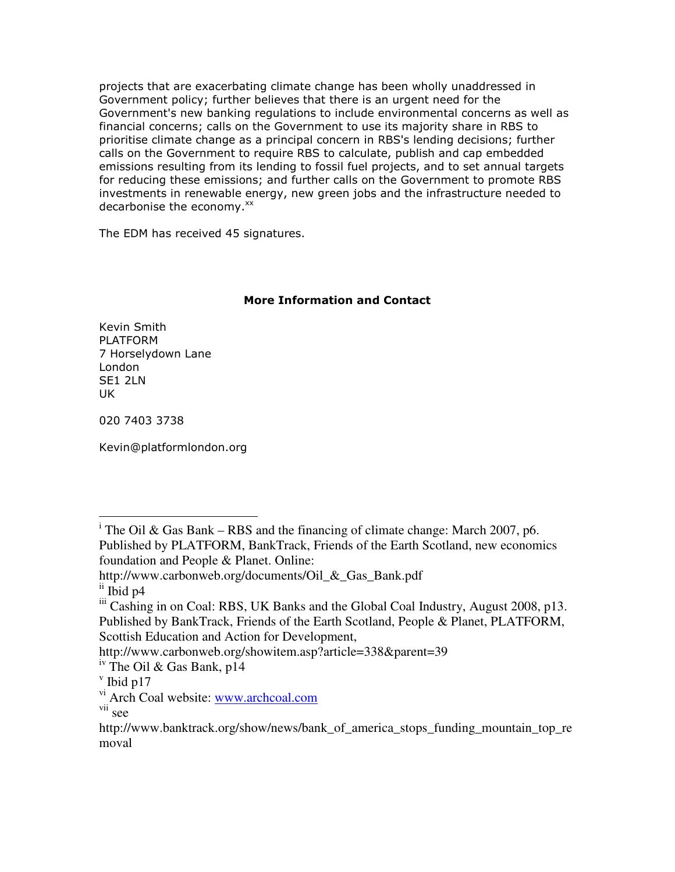projects that are exacerbating climate change has been wholly unaddressed in Government policy; further believes that there is an urgent need for the Government's new banking regulations to include environmental concerns as well as financial concerns; calls on the Government to use its majority share in RBS to prioritise climate change as a principal concern in RBS's lending decisions; further calls on the Government to require RBS to calculate, publish and cap embedded emissions resulting from its lending to fossil fuel projects, and to set annual targets for reducing these emissions; and further calls on the Government to promote RBS investments in renewable energy, new green jobs and the infrastructure needed to decarbonise the economy. $^{xx}$ 

The EDM has received 45 signatures.

# **More Information and Contact**

Kevin Smith PLATFORM 7 Horselydown Lane London SE1 2LN UK

020 7403 3738

Kevin@platformlondon.org

http://www.carbonweb.org/showitem.asp?article=338&parent=39

<sup>-</sup><sup>i</sup> The Oil & Gas Bank – RBS and the financing of climate change: March 2007, p6. Published by PLATFORM, BankTrack, Friends of the Earth Scotland, new economics foundation and People & Planet. Online:

http://www.carbonweb.org/documents/Oil\_&\_Gas\_Bank.pdf

ii Ibid p4

iii Cashing in on Coal: RBS, UK Banks and the Global Coal Industry, August 2008, p13. Published by BankTrack, Friends of the Earth Scotland, People & Planet, PLATFORM, Scottish Education and Action for Development,

iv The Oil & Gas Bank, p14

 $v$  Ibid p17

vi Arch Coal website: www.archcoal.com

vii see

http://www.banktrack.org/show/news/bank\_of\_america\_stops\_funding\_mountain\_top\_re moval